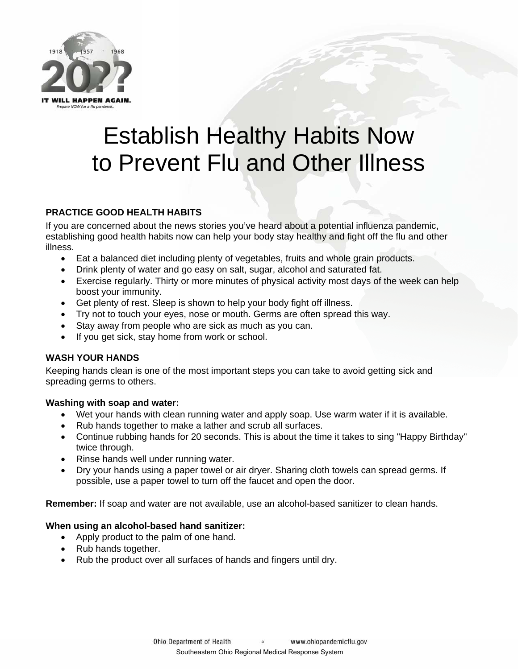

# Establish Healthy Habits Now to Prevent Flu and Other Illness

# **PRACTICE GOOD HEALTH HABITS**

If you are concerned about the news stories you've heard about a potential influenza pandemic, establishing good health habits now can help your body stay healthy and fight off the flu and other illness.

- Eat a balanced diet including plenty of vegetables, fruits and whole grain products.
- Drink plenty of water and go easy on salt, sugar, alcohol and saturated fat.
- Exercise regularly. Thirty or more minutes of physical activity most days of the week can help boost your immunity.
- Get plenty of rest. Sleep is shown to help your body fight off illness.
- Try not to touch your eyes, nose or mouth. Germs are often spread this way.
- Stay away from people who are sick as much as you can.
- If you get sick, stay home from work or school.

# **WASH YOUR HANDS**

Keeping hands clean is one of the most important steps you can take to avoid getting sick and spreading germs to others.

# **Washing with soap and water:**

- Wet your hands with clean running water and apply soap. Use warm water if it is available.
- Rub hands together to make a lather and scrub all surfaces.
- Continue rubbing hands for 20 seconds. This is about the time it takes to sing "Happy Birthday" twice through.
- Rinse hands well under running water.
- Dry your hands using a paper towel or air dryer. Sharing cloth towels can spread germs. If possible, use a paper towel to turn off the faucet and open the door.

**Remember:** If soap and water are not available, use an alcohol-based sanitizer to clean hands.

# **When using an alcohol-based hand sanitizer:**

- Apply product to the palm of one hand.
- Rub hands together.
- Rub the product over all surfaces of hands and fingers until dry.